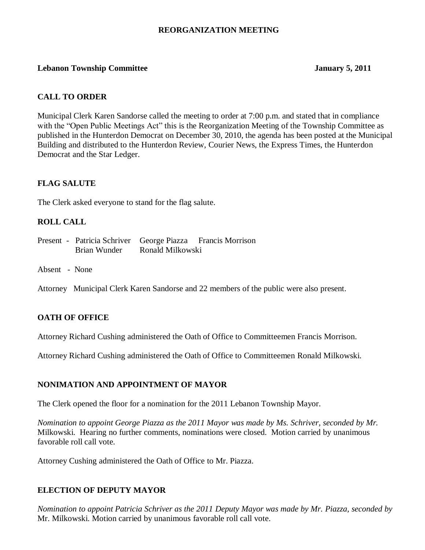## **REORGANIZATION MEETING**

## **Lebanon Township Committee January 5, 2011**

## **CALL TO ORDER**

Municipal Clerk Karen Sandorse called the meeting to order at 7:00 p.m. and stated that in compliance with the "Open Public Meetings Act" this is the Reorganization Meeting of the Township Committee as published in the Hunterdon Democrat on December 30, 2010, the agenda has been posted at the Municipal Building and distributed to the Hunterdon Review, Courier News, the Express Times, the Hunterdon Democrat and the Star Ledger.

## **FLAG SALUTE**

The Clerk asked everyone to stand for the flag salute.

## **ROLL CALL**

- Present Patricia Schriver George Piazza Francis Morrison Brian Wunder Ronald Milkowski
- Absent None
- Attorney Municipal Clerk Karen Sandorse and 22 members of the public were also present.

## **OATH OF OFFICE**

Attorney Richard Cushing administered the Oath of Office to Committeemen Francis Morrison.

Attorney Richard Cushing administered the Oath of Office to Committeemen Ronald Milkowski.

#### **NONIMATION AND APPOINTMENT OF MAYOR**

The Clerk opened the floor for a nomination for the 2011 Lebanon Township Mayor.

*Nomination to appoint George Piazza as the 2011 Mayor was made by Ms. Schriver, seconded by Mr.* Milkowski. Hearing no further comments, nominations were closed. Motion carried by unanimous favorable roll call vote.

Attorney Cushing administered the Oath of Office to Mr. Piazza.

#### **ELECTION OF DEPUTY MAYOR**

*Nomination to appoint Patricia Schriver as the 2011 Deputy Mayor was made by Mr. Piazza, seconded by* Mr. Milkowski. Motion carried by unanimous favorable roll call vote.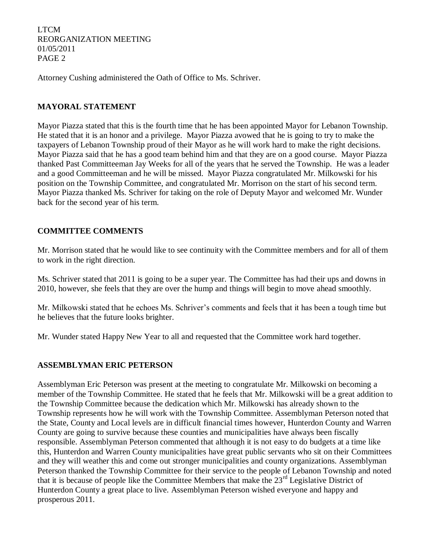Attorney Cushing administered the Oath of Office to Ms. Schriver.

## **MAYORAL STATEMENT**

Mayor Piazza stated that this is the fourth time that he has been appointed Mayor for Lebanon Township. He stated that it is an honor and a privilege. Mayor Piazza avowed that he is going to try to make the taxpayers of Lebanon Township proud of their Mayor as he will work hard to make the right decisions. Mayor Piazza said that he has a good team behind him and that they are on a good course. Mayor Piazza thanked Past Committeeman Jay Weeks for all of the years that he served the Township. He was a leader and a good Committeeman and he will be missed. Mayor Piazza congratulated Mr. Milkowski for his position on the Township Committee, and congratulated Mr. Morrison on the start of his second term. Mayor Piazza thanked Ms. Schriver for taking on the role of Deputy Mayor and welcomed Mr. Wunder back for the second year of his term.

## **COMMITTEE COMMENTS**

Mr. Morrison stated that he would like to see continuity with the Committee members and for all of them to work in the right direction.

Ms. Schriver stated that 2011 is going to be a super year. The Committee has had their ups and downs in 2010, however, she feels that they are over the hump and things will begin to move ahead smoothly.

Mr. Milkowski stated that he echoes Ms. Schriver's comments and feels that it has been a tough time but he believes that the future looks brighter.

Mr. Wunder stated Happy New Year to all and requested that the Committee work hard together.

## **ASSEMBLYMAN ERIC PETERSON**

Assemblyman Eric Peterson was present at the meeting to congratulate Mr. Milkowski on becoming a member of the Township Committee. He stated that he feels that Mr. Milkowski will be a great addition to the Township Committee because the dedication which Mr. Milkowski has already shown to the Township represents how he will work with the Township Committee. Assemblyman Peterson noted that the State, County and Local levels are in difficult financial times however, Hunterdon County and Warren County are going to survive because these counties and municipalities have always been fiscally responsible. Assemblyman Peterson commented that although it is not easy to do budgets at a time like this, Hunterdon and Warren County municipalities have great public servants who sit on their Committees and they will weather this and come out stronger municipalities and county organizations. Assemblyman Peterson thanked the Township Committee for their service to the people of Lebanon Township and noted that it is because of people like the Committee Members that make the 23<sup>rd</sup> Legislative District of Hunterdon County a great place to live. Assemblyman Peterson wished everyone and happy and prosperous 2011.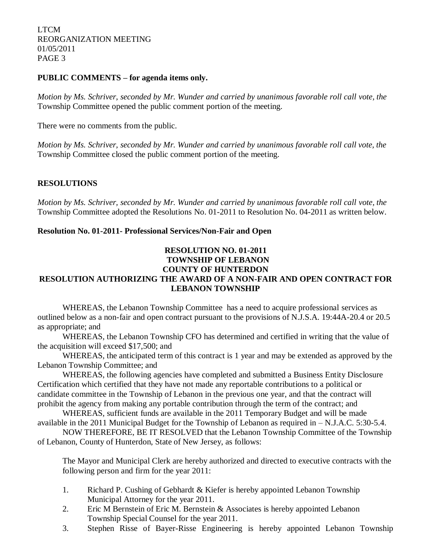## **PUBLIC COMMENTS – for agenda items only.**

*Motion by Ms. Schriver, seconded by Mr. Wunder and carried by unanimous favorable roll call vote, the*  Township Committee opened the public comment portion of the meeting.

There were no comments from the public.

*Motion by Ms. Schriver, seconded by Mr. Wunder and carried by unanimous favorable roll call vote, the*  Township Committee closed the public comment portion of the meeting.

# **RESOLUTIONS**

*Motion by Ms. Schriver, seconded by Mr. Wunder and carried by unanimous favorable roll call vote, the* Township Committee adopted the Resolutions No. 01-2011 to Resolution No. 04-2011 as written below.

## **Resolution No. 01-2011- Professional Services/Non-Fair and Open**

## **RESOLUTION NO. 01-2011 TOWNSHIP OF LEBANON COUNTY OF HUNTERDON**

# **RESOLUTION AUTHORIZING THE AWARD OF A NON-FAIR AND OPEN CONTRACT FOR LEBANON TOWNSHIP**

WHEREAS, the Lebanon Township Committee has a need to acquire professional services as outlined below as a non-fair and open contract pursuant to the provisions of N.J.S.A. 19:44A-20.4 or 20.5 as appropriate; and

WHEREAS, the Lebanon Township CFO has determined and certified in writing that the value of the acquisition will exceed \$17,500; and

WHEREAS, the anticipated term of this contract is 1 year and may be extended as approved by the Lebanon Township Committee; and

WHEREAS, the following agencies have completed and submitted a Business Entity Disclosure Certification which certified that they have not made any reportable contributions to a political or candidate committee in the Township of Lebanon in the previous one year, and that the contract will prohibit the agency from making any portable contribution through the term of the contract; and

WHEREAS, sufficient funds are available in the 2011 Temporary Budget and will be made available in the 2011 Municipal Budget for the Township of Lebanon as required in – N.J.A.C. 5:30-5.4.

NOW THEREFORE, BE IT RESOLVED that the Lebanon Township Committee of the Township of Lebanon, County of Hunterdon, State of New Jersey, as follows:

The Mayor and Municipal Clerk are hereby authorized and directed to executive contracts with the following person and firm for the year 2011:

- 1. Richard P. Cushing of Gebhardt & Kiefer is hereby appointed Lebanon Township Municipal Attorney for the year 2011.
- 2. Eric M Bernstein of Eric M. Bernstein & Associates is hereby appointed Lebanon Township Special Counsel for the year 2011.
- 3. Stephen Risse of Bayer-Risse Engineering is hereby appointed Lebanon Township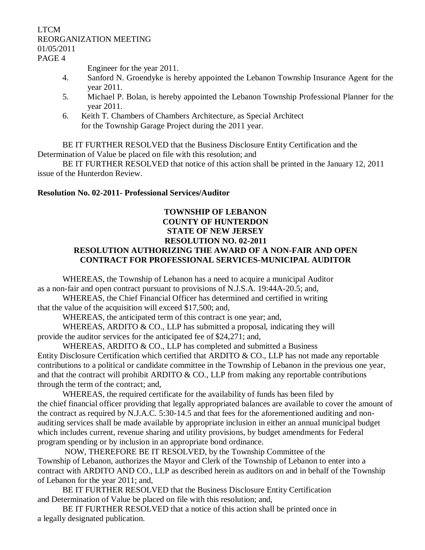Engineer for the year 2011.

- 4. Sanford N. Groendyke is hereby appointed the Lebanon Township Insurance Agent for the year 2011.
- 5. Michael P. Bolan, is hereby appointed the Lebanon Township Professional Planner for the year 2011.
- 6. Keith T. Chambers of Chambers Architecture, as Special Architect for the Township Garage Project during the 2011 year.

BE IT FURTHER RESOLVED that the Business Disclosure Entity Certification and the Determination of Value be placed on file with this resolution; and

BE IT FURTHER RESOLVED that notice of this action shall be printed in the January 12, 2011 issue of the Hunterdon Review.

# **Resolution No. 02-2011- Professional Services/Auditor**

# **TOWNSHIP OF LEBANON COUNTY OF HUNTERDON STATE OF NEW JERSEY RESOLUTION NO. 02-2011 RESOLUTION AUTHORIZING THE AWARD OF A NON-FAIR AND OPEN CONTRACT FOR PROFESSIONAL SERVICES-MUNICIPAL AUDITOR**

WHEREAS, the Township of Lebanon has a need to acquire a municipal Auditor as a non-fair and open contract pursuant to provisions of N.J.S.A. 19:44A-20.5; and,

WHEREAS, the Chief Financial Officer has determined and certified in writing that the value of the acquisition will exceed \$17,500; and,

WHEREAS, the anticipated term of this contract is one year; and,

WHEREAS, ARDITO  $& CO$ . LLP has submitted a proposal, indicating they will provide the auditor services for the anticipated fee of \$24,271; and,

WHEREAS, ARDITO & CO., LLP has completed and submitted a Business Entity Disclosure Certification which certified that ARDITO & CO., LLP has not made any reportable contributions to a political or candidate committee in the Township of Lebanon in the previous one year, and that the contract will prohibit ARDITO  $\&$  CO., LLP from making any reportable contributions through the term of the contract; and,

WHEREAS, the required certificate for the availability of funds has been filed by the chief financial officer providing that legally appropriated balances are available to cover the amount of the contract as required by N.J.A.C. 5:30-14.5 and that fees for the aforementioned auditing and nonauditing services shall be made available by appropriate inclusion in either an annual municipal budget which includes current, revenue sharing and utility provisions, by budget amendments for Federal program spending or by inclusion in an appropriate bond ordinance.

NOW, THEREFORE BE IT RESOLVED, by the Township Committee of the Township of Lebanon, authorizes the Mayor and Clerk of the Township of Lebanon to enter into a contract with ARDITO AND CO., LLP as described herein as auditors on and in behalf of the Township of Lebanon for the year 2011; and,

BE IT FURTHER RESOLVED that the Business Disclosure Entity Certification and Determination of Value be placed on file with this resolution; and,

BE IT FURTHER RESOLVED that a notice of this action shall be printed once in a legally designated publication.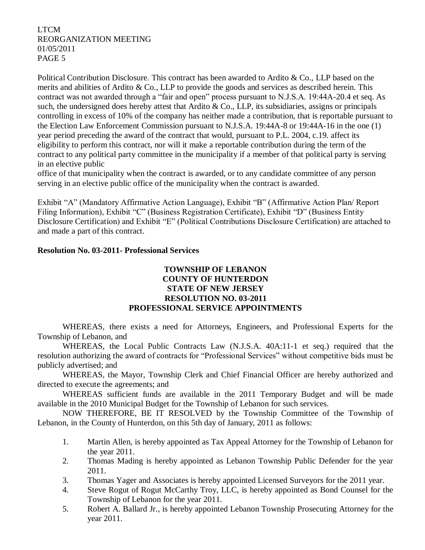Political Contribution Disclosure. This contract has been awarded to Ardito & Co., LLP based on the merits and abilities of Ardito & Co., LLP to provide the goods and services as described herein. This contract was not awarded through a "fair and open" process pursuant to N.J.S.A. 19:44A-20.4 et seq. As such, the undersigned does hereby attest that Ardito & Co., LLP, its subsidiaries, assigns or principals controlling in excess of 10% of the company has neither made a contribution, that is reportable pursuant to the Election Law Enforcement Commission pursuant to N.J.S.A. 19:44A-8 or 19:44A-16 in the one (1) year period preceding the award of the contract that would, pursuant to P.L. 2004, c.19. affect its eligibility to perform this contract, nor will it make a reportable contribution during the term of the contract to any political party committee in the municipality if a member of that political party is serving in an elective public

office of that municipality when the contract is awarded, or to any candidate committee of any person serving in an elective public office of the municipality when the contract is awarded.

Exhibit "A" (Mandatory Affirmative Action Language), Exhibit "B" (Affirmative Action Plan/ Report Filing Information), Exhibit "C" (Business Registration Certificate), Exhibit "D" (Business Entity Disclosure Certification) and Exhibit "E" (Political Contributions Disclosure Certification) are attached to and made a part of this contract.

## **Resolution No. 03-2011- Professional Services**

## **TOWNSHIP OF LEBANON COUNTY OF HUNTERDON STATE OF NEW JERSEY RESOLUTION NO. 03-2011 PROFESSIONAL SERVICE APPOINTMENTS**

WHEREAS, there exists a need for Attorneys, Engineers, and Professional Experts for the Township of Lebanon, and

WHEREAS, the Local Public Contracts Law (N.J.S.A. 40A:11-1 et seq.) required that the resolution authorizing the award of contracts for "Professional Services" without competitive bids must be publicly advertised; and

WHEREAS, the Mayor, Township Clerk and Chief Financial Officer are hereby authorized and directed to execute the agreements; and

WHEREAS sufficient funds are available in the 2011 Temporary Budget and will be made available in the 2010 Municipal Budget for the Township of Lebanon for such services.

NOW THEREFORE, BE IT RESOLVED by the Township Committee of the Township of Lebanon, in the County of Hunterdon, on this 5th day of January, 2011 as follows:

- 1. Martin Allen, is hereby appointed as Tax Appeal Attorney for the Township of Lebanon for the year 2011.
- 2. Thomas Mading is hereby appointed as Lebanon Township Public Defender for the year 2011.
- 3. Thomas Yager and Associates is hereby appointed Licensed Surveyors for the 2011 year.
- 4. Steve Rogut of Rogut McCarthy Troy, LLC, is hereby appointed as Bond Counsel for the Township of Lebanon for the year 2011.
- 5. Robert A. Ballard Jr., is hereby appointed Lebanon Township Prosecuting Attorney for the year 2011.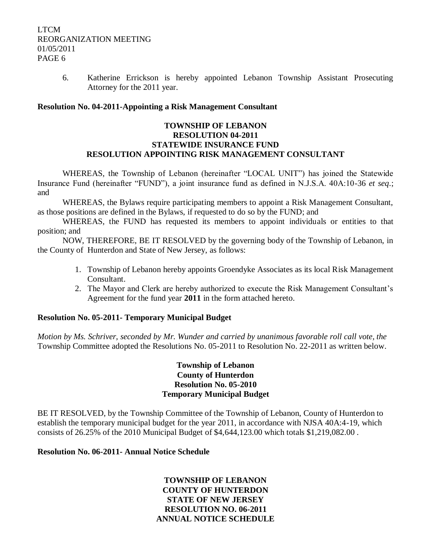6. Katherine Errickson is hereby appointed Lebanon Township Assistant Prosecuting Attorney for the 2011 year.

## **Resolution No. 04-2011-Appointing a Risk Management Consultant**

## **TOWNSHIP OF LEBANON RESOLUTION 04-2011 STATEWIDE INSURANCE FUND RESOLUTION APPOINTING RISK MANAGEMENT CONSULTANT**

WHEREAS, the Township of Lebanon (hereinafter "LOCAL UNIT") has joined the Statewide Insurance Fund (hereinafter "FUND"), a joint insurance fund as defined in N.J.S.A. 40A:10-36 *et seq*.; and

WHEREAS, the Bylaws require participating members to appoint a Risk Management Consultant, as those positions are defined in the Bylaws, if requested to do so by the FUND; and

WHEREAS, the FUND has requested its members to appoint individuals or entities to that position; and

NOW, THEREFORE, BE IT RESOLVED by the governing body of the Township of Lebanon, in the County of Hunterdon and State of New Jersey, as follows:

- 1. Township of Lebanon hereby appoints Groendyke Associates as its local Risk Management Consultant.
- 2. The Mayor and Clerk are hereby authorized to execute the Risk Management Consultant's Agreement for the fund year **2011** in the form attached hereto.

## **Resolution No. 05-2011- Temporary Municipal Budget**

*Motion by Ms. Schriver, seconded by Mr. Wunder and carried by unanimous favorable roll call vote, the* Township Committee adopted the Resolutions No. 05-2011 to Resolution No. 22-2011 as written below.

## **Township of Lebanon County of Hunterdon Resolution No. 05-2010 Temporary Municipal Budget**

BE IT RESOLVED, by the Township Committee of the Township of Lebanon, County of Hunterdon to establish the temporary municipal budget for the year 2011, in accordance with NJSA 40A:4-19, which consists of 26.25% of the 2010 Municipal Budget of \$4,644,123.00 which totals \$1,219,082.00 .

## **Resolution No. 06-2011- Annual Notice Schedule**

**TOWNSHIP OF LEBANON COUNTY OF HUNTERDON STATE OF NEW JERSEY RESOLUTION NO. 06-2011 ANNUAL NOTICE SCHEDULE**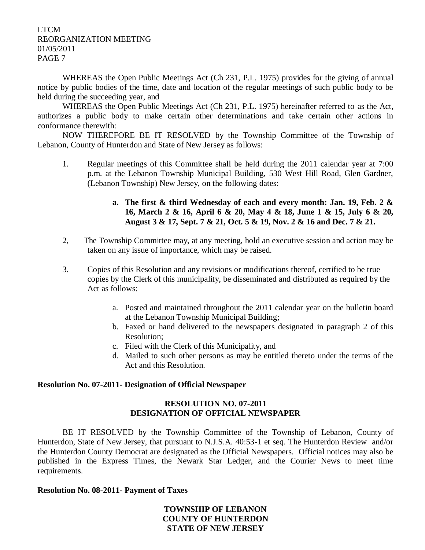WHEREAS the Open Public Meetings Act (Ch 231, P.L. 1975) provides for the giving of annual notice by public bodies of the time, date and location of the regular meetings of such public body to be held during the succeeding year, and

WHEREAS the Open Public Meetings Act (Ch 231, P.L. 1975) hereinafter referred to as the Act, authorizes a public body to make certain other determinations and take certain other actions in conformance therewith:

NOW THEREFORE BE IT RESOLVED by the Township Committee of the Township of Lebanon, County of Hunterdon and State of New Jersey as follows:

1. Regular meetings of this Committee shall be held during the 2011 calendar year at 7:00 p.m. at the Lebanon Township Municipal Building, 530 West Hill Road, Glen Gardner, (Lebanon Township) New Jersey, on the following dates:

# **a. The first & third Wednesday of each and every month: Jan. 19, Feb. 2 & 16, March 2 & 16, April 6 & 20, May 4 & 18, June 1 & 15, July 6 & 20, August 3 & 17, Sept. 7 & 21, Oct. 5 & 19, Nov. 2 & 16 and Dec. 7 & 21.**

- 2, The Township Committee may, at any meeting, hold an executive session and action may be taken on any issue of importance, which may be raised.
- 3. Copies of this Resolution and any revisions or modifications thereof, certified to be true copies by the Clerk of this municipality, be disseminated and distributed as required by the Act as follows:
	- a. Posted and maintained throughout the 2011 calendar year on the bulletin board at the Lebanon Township Municipal Building;
	- b. Faxed or hand delivered to the newspapers designated in paragraph 2 of this Resolution;
	- c. Filed with the Clerk of this Municipality, and
	- d. Mailed to such other persons as may be entitled thereto under the terms of the Act and this Resolution.

## **Resolution No. 07-2011- Designation of Official Newspaper**

## **RESOLUTION NO. 07-2011 DESIGNATION OF OFFICIAL NEWSPAPER**

BE IT RESOLVED by the Township Committee of the Township of Lebanon, County of Hunterdon, State of New Jersey, that pursuant to N.J.S.A. 40:53-1 et seq. The Hunterdon Review and/or the Hunterdon County Democrat are designated as the Official Newspapers. Official notices may also be published in the Express Times, the Newark Star Ledger, and the Courier News to meet time requirements.

## **Resolution No. 08-2011- Payment of Taxes**

**TOWNSHIP OF LEBANON COUNTY OF HUNTERDON STATE OF NEW JERSEY**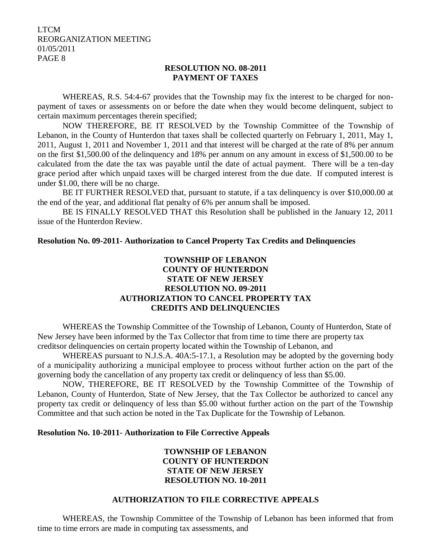## **RESOLUTION NO. 08-2011 PAYMENT OF TAXES**

WHEREAS, R.S. 54:4-67 provides that the Township may fix the interest to be charged for nonpayment of taxes or assessments on or before the date when they would become delinquent, subject to certain maximum percentages therein specified;

NOW THEREFORE, BE IT RESOLVED by the Township Committee of the Township of Lebanon, in the County of Hunterdon that taxes shall be collected quarterly on February 1, 2011, May 1, 2011, August 1, 2011 and November 1, 2011 and that interest will be charged at the rate of 8% per annum on the first \$1,500.00 of the delinquency and 18% per annum on any amount in excess of \$1,500.00 to be calculated from the date the tax was payable until the date of actual payment. There will be a ten-day grace period after which unpaid taxes will be charged interest from the due date. If computed interest is under \$1.00, there will be no charge.

BE IT FURTHER RESOLVED that, pursuant to statute, if a tax delinquency is over \$10,000.00 at the end of the year, and additional flat penalty of 6% per annum shall be imposed.

BE IS FINALLY RESOLVED THAT this Resolution shall be published in the January 12, 2011 issue of the Hunterdon Review.

**Resolution No. 09-2011- Authorization to Cancel Property Tax Credits and Delinquencies**

# **TOWNSHIP OF LEBANON COUNTY OF HUNTERDON STATE OF NEW JERSEY RESOLUTION NO. 09-2011 AUTHORIZATION TO CANCEL PROPERTY TAX CREDITS AND DELINQUENCIES**

WHEREAS the Township Committee of the Township of Lebanon, County of Hunterdon, State of New Jersey have been informed by the Tax Collector that from time to time there are property tax creditsor delinquencies on certain property located within the Township of Lebanon, and

WHEREAS pursuant to N.J.S.A. 40A:5-17.1, a Resolution may be adopted by the governing body of a municipality authorizing a municipal employee to process without further action on the part of the governing body the cancellation of any property tax credit or delinquency of less than \$5.00.

NOW, THEREFORE, BE IT RESOLVED by the Township Committee of the Township of Lebanon, County of Hunterdon, State of New Jersey, that the Tax Collector be authorized to cancel any property tax credit or delinquency of less than \$5.00 without further action on the part of the Township Committee and that such action be noted in the Tax Duplicate for the Township of Lebanon.

#### **Resolution No. 10-2011- Authorization to File Corrective Appeals**

# **TOWNSHIP OF LEBANON COUNTY OF HUNTERDON STATE OF NEW JERSEY RESOLUTION NO. 10-2011**

## **AUTHORIZATION TO FILE CORRECTIVE APPEALS**

WHEREAS, the Township Committee of the Township of Lebanon has been informed that from time to time errors are made in computing tax assessments, and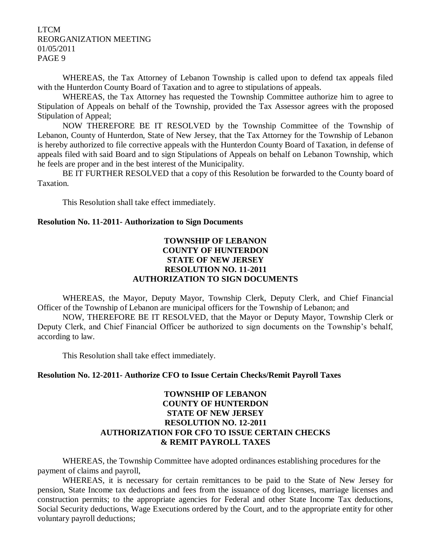WHEREAS, the Tax Attorney of Lebanon Township is called upon to defend tax appeals filed with the Hunterdon County Board of Taxation and to agree to stipulations of appeals.

WHEREAS, the Tax Attorney has requested the Township Committee authorize him to agree to Stipulation of Appeals on behalf of the Township, provided the Tax Assessor agrees with the proposed Stipulation of Appeal;

NOW THEREFORE BE IT RESOLVED by the Township Committee of the Township of Lebanon, County of Hunterdon, State of New Jersey, that the Tax Attorney for the Township of Lebanon is hereby authorized to file corrective appeals with the Hunterdon County Board of Taxation, in defense of appeals filed with said Board and to sign Stipulations of Appeals on behalf on Lebanon Township, which he feels are proper and in the best interest of the Municipality.

BE IT FURTHER RESOLVED that a copy of this Resolution be forwarded to the County board of Taxation.

This Resolution shall take effect immediately.

#### **Resolution No. 11-2011- Authorization to Sign Documents**

## **TOWNSHIP OF LEBANON COUNTY OF HUNTERDON STATE OF NEW JERSEY RESOLUTION NO. 11-2011 AUTHORIZATION TO SIGN DOCUMENTS**

WHEREAS, the Mayor, Deputy Mayor, Township Clerk, Deputy Clerk, and Chief Financial Officer of the Township of Lebanon are municipal officers for the Township of Lebanon; and

NOW, THEREFORE BE IT RESOLVED, that the Mayor or Deputy Mayor, Township Clerk or Deputy Clerk, and Chief Financial Officer be authorized to sign documents on the Township's behalf, according to law.

This Resolution shall take effect immediately.

## **Resolution No. 12-2011- Authorize CFO to Issue Certain Checks/Remit Payroll Taxes**

# **TOWNSHIP OF LEBANON COUNTY OF HUNTERDON STATE OF NEW JERSEY RESOLUTION NO. 12-2011 AUTHORIZATION FOR CFO TO ISSUE CERTAIN CHECKS & REMIT PAYROLL TAXES**

WHEREAS, the Township Committee have adopted ordinances establishing procedures for the payment of claims and payroll,

WHEREAS, it is necessary for certain remittances to be paid to the State of New Jersey for pension, State Income tax deductions and fees from the issuance of dog licenses, marriage licenses and construction permits; to the appropriate agencies for Federal and other State Income Tax deductions, Social Security deductions, Wage Executions ordered by the Court, and to the appropriate entity for other voluntary payroll deductions;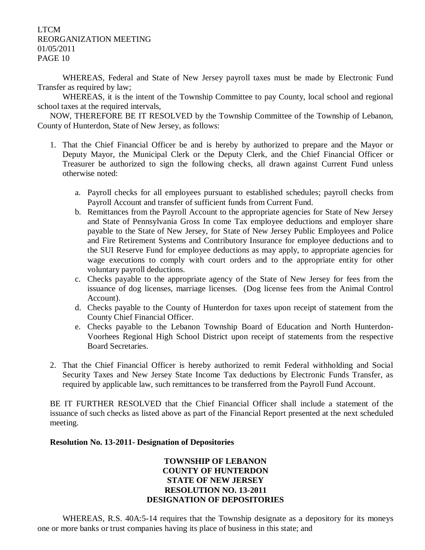WHEREAS, Federal and State of New Jersey payroll taxes must be made by Electronic Fund Transfer as required by law;

WHEREAS, it is the intent of the Township Committee to pay County, local school and regional school taxes at the required intervals,

NOW, THEREFORE BE IT RESOLVED by the Township Committee of the Township of Lebanon, County of Hunterdon, State of New Jersey, as follows:

- 1. That the Chief Financial Officer be and is hereby by authorized to prepare and the Mayor or Deputy Mayor, the Municipal Clerk or the Deputy Clerk, and the Chief Financial Officer or Treasurer be authorized to sign the following checks, all drawn against Current Fund unless otherwise noted:
	- a. Payroll checks for all employees pursuant to established schedules; payroll checks from Payroll Account and transfer of sufficient funds from Current Fund.
	- b. Remittances from the Payroll Account to the appropriate agencies for State of New Jersey and State of Pennsylvania Gross In come Tax employee deductions and employer share payable to the State of New Jersey, for State of New Jersey Public Employees and Police and Fire Retirement Systems and Contributory Insurance for employee deductions and to the SUI Reserve Fund for employee deductions as may apply, to appropriate agencies for wage executions to comply with court orders and to the appropriate entity for other voluntary payroll deductions.
	- c. Checks payable to the appropriate agency of the State of New Jersey for fees from the issuance of dog licenses, marriage licenses. (Dog license fees from the Animal Control Account).
	- d. Checks payable to the County of Hunterdon for taxes upon receipt of statement from the County Chief Financial Officer.
	- e. Checks payable to the Lebanon Township Board of Education and North Hunterdon-Voorhees Regional High School District upon receipt of statements from the respective Board Secretaries.
- 2. That the Chief Financial Officer is hereby authorized to remit Federal withholding and Social Security Taxes and New Jersey State Income Tax deductions by Electronic Funds Transfer, as required by applicable law, such remittances to be transferred from the Payroll Fund Account.

BE IT FURTHER RESOLVED that the Chief Financial Officer shall include a statement of the issuance of such checks as listed above as part of the Financial Report presented at the next scheduled meeting.

## **Resolution No. 13-2011- Designation of Depositories**

## **TOWNSHIP OF LEBANON COUNTY OF HUNTERDON STATE OF NEW JERSEY RESOLUTION NO. 13-2011 DESIGNATION OF DEPOSITORIES**

WHEREAS, R.S. 40A:5-14 requires that the Township designate as a depository for its moneys one or more banks or trust companies having its place of business in this state; and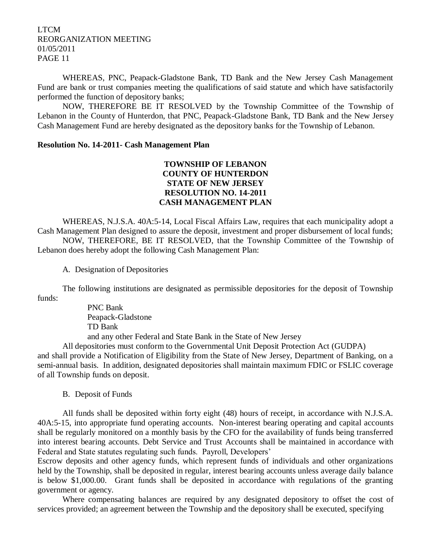WHEREAS, PNC, Peapack-Gladstone Bank, TD Bank and the New Jersey Cash Management Fund are bank or trust companies meeting the qualifications of said statute and which have satisfactorily performed the function of depository banks;

NOW, THEREFORE BE IT RESOLVED by the Township Committee of the Township of Lebanon in the County of Hunterdon, that PNC, Peapack-Gladstone Bank, TD Bank and the New Jersey Cash Management Fund are hereby designated as the depository banks for the Township of Lebanon.

#### **Resolution No. 14-2011- Cash Management Plan**

# **TOWNSHIP OF LEBANON COUNTY OF HUNTERDON STATE OF NEW JERSEY RESOLUTION NO. 14-2011 CASH MANAGEMENT PLAN**

WHEREAS, N.J.S.A. 40A:5-14, Local Fiscal Affairs Law, requires that each municipality adopt a Cash Management Plan designed to assure the deposit, investment and proper disbursement of local funds; NOW, THEREFORE, BE IT RESOLVED, that the Township Committee of the Township of Lebanon does hereby adopt the following Cash Management Plan:

A. Designation of Depositories

The following institutions are designated as permissible depositories for the deposit of Township funds:

> PNC Bank Peapack-Gladstone TD Bank and any other Federal and State Bank in the State of New Jersey

All depositories must conform to the Governmental Unit Deposit Protection Act (GUDPA) and shall provide a Notification of Eligibility from the State of New Jersey, Department of Banking, on a semi-annual basis. In addition, designated depositories shall maintain maximum FDIC or FSLIC coverage of all Township funds on deposit.

B. Deposit of Funds

All funds shall be deposited within forty eight (48) hours of receipt, in accordance with N.J.S.A. 40A:5-15, into appropriate fund operating accounts. Non-interest bearing operating and capital accounts shall be regularly monitored on a monthly basis by the CFO for the availability of funds being transferred into interest bearing accounts. Debt Service and Trust Accounts shall be maintained in accordance with Federal and State statutes regulating such funds. Payroll, Developers'

Escrow deposits and other agency funds, which represent funds of individuals and other organizations held by the Township, shall be deposited in regular, interest bearing accounts unless average daily balance is below \$1,000.00. Grant funds shall be deposited in accordance with regulations of the granting government or agency.

Where compensating balances are required by any designated depository to offset the cost of services provided; an agreement between the Township and the depository shall be executed, specifying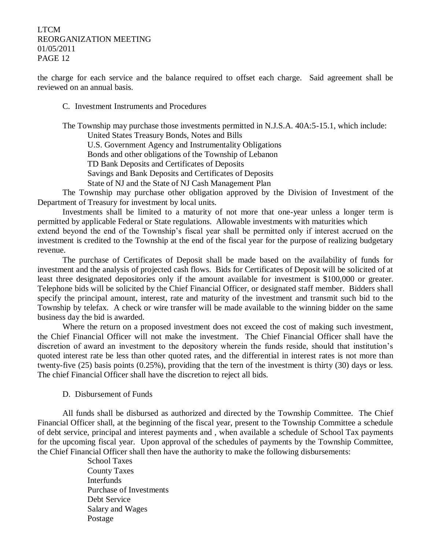the charge for each service and the balance required to offset each charge. Said agreement shall be reviewed on an annual basis.

C. Investment Instruments and Procedures

The Township may purchase those investments permitted in N.J.S.A. 40A:5-15.1, which include: United States Treasury Bonds, Notes and Bills U.S. Government Agency and Instrumentality Obligations Bonds and other obligations of the Township of Lebanon TD Bank Deposits and Certificates of Deposits Savings and Bank Deposits and Certificates of Deposits State of NJ and the State of NJ Cash Management Plan

The Township may purchase other obligation approved by the Division of Investment of the Department of Treasury for investment by local units.

Investments shall be limited to a maturity of not more that one-year unless a longer term is permitted by applicable Federal or State regulations. Allowable investments with maturities which

extend beyond the end of the Township's fiscal year shall be permitted only if interest accrued on the investment is credited to the Township at the end of the fiscal year for the purpose of realizing budgetary revenue.

The purchase of Certificates of Deposit shall be made based on the availability of funds for investment and the analysis of projected cash flows. Bids for Certificates of Deposit will be solicited of at least three designated depositories only if the amount available for investment is \$100,000 or greater. Telephone bids will be solicited by the Chief Financial Officer, or designated staff member. Bidders shall specify the principal amount, interest, rate and maturity of the investment and transmit such bid to the Township by telefax. A check or wire transfer will be made available to the winning bidder on the same business day the bid is awarded.

Where the return on a proposed investment does not exceed the cost of making such investment, the Chief Financial Officer will not make the investment. The Chief Financial Officer shall have the discretion of award an investment to the depository wherein the funds reside, should that institution's quoted interest rate be less than other quoted rates, and the differential in interest rates is not more than twenty-five (25) basis points (0.25%), providing that the tern of the investment is thirty (30) days or less. The chief Financial Officer shall have the discretion to reject all bids.

## D. Disbursement of Funds

All funds shall be disbursed as authorized and directed by the Township Committee. The Chief Financial Officer shall, at the beginning of the fiscal year, present to the Township Committee a schedule of debt service, principal and interest payments and , when available a schedule of School Tax payments for the upcoming fiscal year. Upon approval of the schedules of payments by the Township Committee, the Chief Financial Officer shall then have the authority to make the following disbursements:

> School Taxes County Taxes **Interfunds** Purchase of Investments Debt Service Salary and Wages Postage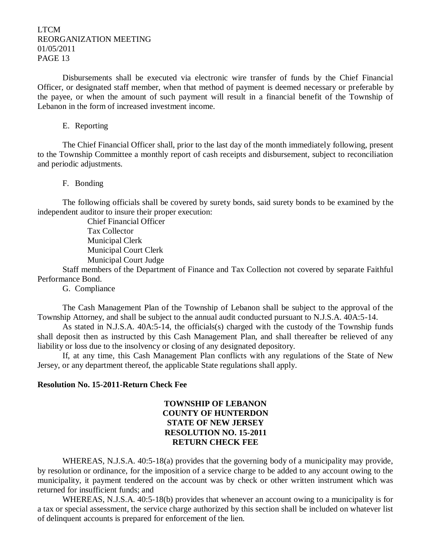Disbursements shall be executed via electronic wire transfer of funds by the Chief Financial Officer, or designated staff member, when that method of payment is deemed necessary or preferable by the payee, or when the amount of such payment will result in a financial benefit of the Township of Lebanon in the form of increased investment income.

#### E. Reporting

The Chief Financial Officer shall, prior to the last day of the month immediately following, present to the Township Committee a monthly report of cash receipts and disbursement, subject to reconciliation and periodic adjustments.

#### F. Bonding

The following officials shall be covered by surety bonds, said surety bonds to be examined by the independent auditor to insure their proper execution:

> Chief Financial Officer Tax Collector Municipal Clerk Municipal Court Clerk Municipal Court Judge

Staff members of the Department of Finance and Tax Collection not covered by separate Faithful Performance Bond.

G. Compliance

The Cash Management Plan of the Township of Lebanon shall be subject to the approval of the Township Attorney, and shall be subject to the annual audit conducted pursuant to N.J.S.A. 40A:5-14.

As stated in N.J.S.A. 40A:5-14, the officials(s) charged with the custody of the Township funds shall deposit then as instructed by this Cash Management Plan, and shall thereafter be relieved of any liability or loss due to the insolvency or closing of any designated depository.

If, at any time, this Cash Management Plan conflicts with any regulations of the State of New Jersey, or any department thereof, the applicable State regulations shall apply.

#### **Resolution No. 15-2011-Return Check Fee**

# **TOWNSHIP OF LEBANON COUNTY OF HUNTERDON STATE OF NEW JERSEY RESOLUTION NO. 15-2011 RETURN CHECK FEE**

WHEREAS, N.J.S.A. 40:5-18(a) provides that the governing body of a municipality may provide, by resolution or ordinance, for the imposition of a service charge to be added to any account owing to the municipality, it payment tendered on the account was by check or other written instrument which was returned for insufficient funds; and

WHEREAS, N.J.S.A. 40:5-18(b) provides that whenever an account owing to a municipality is for a tax or special assessment, the service charge authorized by this section shall be included on whatever list of delinquent accounts is prepared for enforcement of the lien.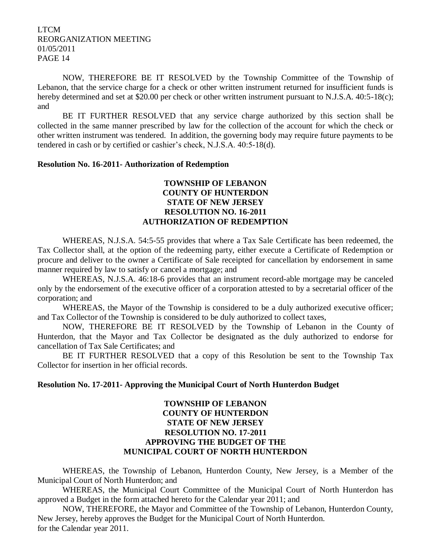NOW, THEREFORE BE IT RESOLVED by the Township Committee of the Township of Lebanon, that the service charge for a check or other written instrument returned for insufficient funds is hereby determined and set at \$20.00 per check or other written instrument pursuant to N.J.S.A. 40:5-18(c); and

BE IT FURTHER RESOLVED that any service charge authorized by this section shall be collected in the same manner prescribed by law for the collection of the account for which the check or other written instrument was tendered. In addition, the governing body may require future payments to be tendered in cash or by certified or cashier's check, N.J.S.A. 40:5-18(d).

#### **Resolution No. 16-2011- Authorization of Redemption**

## **TOWNSHIP OF LEBANON COUNTY OF HUNTERDON STATE OF NEW JERSEY RESOLUTION NO. 16-2011 AUTHORIZATION OF REDEMPTION**

WHEREAS, N.J.S.A. 54:5-55 provides that where a Tax Sale Certificate has been redeemed, the Tax Collector shall, at the option of the redeeming party, either execute a Certificate of Redemption or procure and deliver to the owner a Certificate of Sale receipted for cancellation by endorsement in same manner required by law to satisfy or cancel a mortgage; and

WHEREAS, N.J.S.A. 46:18-6 provides that an instrument record-able mortgage may be canceled only by the endorsement of the executive officer of a corporation attested to by a secretarial officer of the corporation; and

WHEREAS, the Mayor of the Township is considered to be a duly authorized executive officer; and Tax Collector of the Township is considered to be duly authorized to collect taxes,

NOW, THEREFORE BE IT RESOLVED by the Township of Lebanon in the County of Hunterdon, that the Mayor and Tax Collector be designated as the duly authorized to endorse for cancellation of Tax Sale Certificates; and

BE IT FURTHER RESOLVED that a copy of this Resolution be sent to the Township Tax Collector for insertion in her official records.

## **Resolution No. 17-2011- Approving the Municipal Court of North Hunterdon Budget**

# **TOWNSHIP OF LEBANON COUNTY OF HUNTERDON STATE OF NEW JERSEY RESOLUTION NO. 17-2011 APPROVING THE BUDGET OF THE MUNICIPAL COURT OF NORTH HUNTERDON**

WHEREAS, the Township of Lebanon, Hunterdon County, New Jersey, is a Member of the Municipal Court of North Hunterdon; and

WHEREAS, the Municipal Court Committee of the Municipal Court of North Hunterdon has approved a Budget in the form attached hereto for the Calendar year 2011; and

NOW, THEREFORE, the Mayor and Committee of the Township of Lebanon, Hunterdon County, New Jersey, hereby approves the Budget for the Municipal Court of North Hunterdon. for the Calendar year 2011.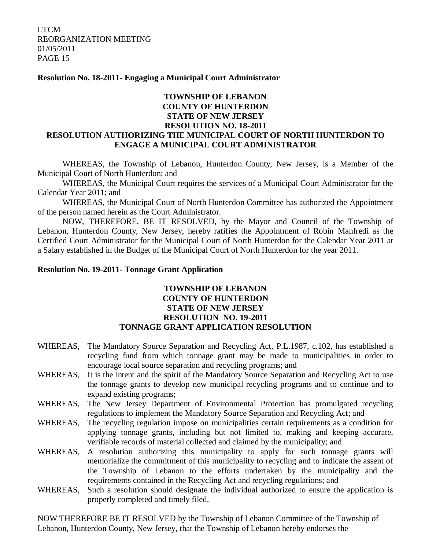#### **Resolution No. 18-2011- Engaging a Municipal Court Administrator**

# **TOWNSHIP OF LEBANON COUNTY OF HUNTERDON STATE OF NEW JERSEY RESOLUTION NO. 18-2011 RESOLUTION AUTHORIZING THE MUNICIPAL COURT OF NORTH HUNTERDON TO ENGAGE A MUNICIPAL COURT ADMINISTRATOR**

WHEREAS, the Township of Lebanon, Hunterdon County, New Jersey, is a Member of the Municipal Court of North Hunterdon; and

WHEREAS, the Municipal Court requires the services of a Municipal Court Administrator for the Calendar Year 2011; and

WHEREAS, the Municipal Court of North Hunterdon Committee has authorized the Appointment of the person named herein as the Court Administrator.

NOW, THEREFORE, BE IT RESOLVED, by the Mayor and Council of the Township of Lebanon, Hunterdon County, New Jersey, hereby ratifies the Appointment of Robin Manfredi as the Certified Court Administrator for the Municipal Court of North Hunterdon for the Calendar Year 2011 at a Salary established in the Budget of the Municipal Court of North Hunterdon for the year 2011.

#### **Resolution No. 19-2011- Tonnage Grant Application**

## **TOWNSHIP OF LEBANON COUNTY OF HUNTERDON STATE OF NEW JERSEY RESOLUTION NO. 19-2011 TONNAGE GRANT APPLICATION RESOLUTION**

- WHEREAS, The Mandatory Source Separation and Recycling Act, P.L.1987, c.102, has established a recycling fund from which tonnage grant may be made to municipalities in order to encourage local source separation and recycling programs; and
- WHEREAS, It is the intent and the spirit of the Mandatory Source Separation and Recycling Act to use the tonnage grants to develop new municipal recycling programs and to continue and to expand existing programs;
- WHEREAS, The New Jersey Department of Environmental Protection has promulgated recycling regulations to implement the Mandatory Source Separation and Recycling Act; and
- WHEREAS, The recycling regulation impose on municipalities certain requirements as a condition for applying tonnage grants, including but not limited to, making and keeping accurate, verifiable records of material collected and claimed by the municipality; and
- WHEREAS, A resolution authorizing this municipality to apply for such tonnage grants will memorialize the commitment of this municipality to recycling and to indicate the assent of the Township of Lebanon to the efforts undertaken by the municipality and the requirements contained in the Recycling Act and recycling regulations; and
- WHEREAS, Such a resolution should designate the individual authorized to ensure the application is properly completed and timely filed.

NOW THEREFORE BE IT RESOLVED by the Township of Lebanon Committee of the Township of Lebanon, Hunterdon County, New Jersey, that the Township of Lebanon hereby endorses the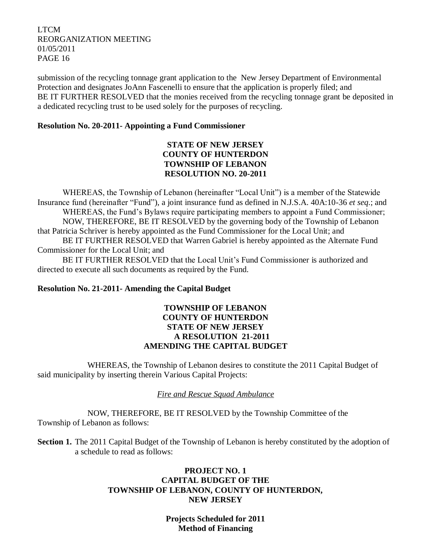submission of the recycling tonnage grant application to the New Jersey Department of Environmental Protection and designates JoAnn Fascenelli to ensure that the application is properly filed; and BE IT FURTHER RESOLVED that the monies received from the recycling tonnage grant be deposited in a dedicated recycling trust to be used solely for the purposes of recycling.

## **Resolution No. 20-2011- Appointing a Fund Commissioner**

# **STATE OF NEW JERSEY COUNTY OF HUNTERDON TOWNSHIP OF LEBANON RESOLUTION NO. 20-2011**

WHEREAS, the Township of Lebanon (hereinafter "Local Unit") is a member of the Statewide Insurance fund (hereinafter "Fund"), a joint insurance fund as defined in N.J.S.A. 40A:10-36 *et seq*.; and WHEREAS, the Fund's Bylaws require participating members to appoint a Fund Commissioner; NOW, THEREFORE, BE IT RESOLVED by the governing body of the Township of Lebanon that Patricia Schriver is hereby appointed as the Fund Commissioner for the Local Unit; and

BE IT FURTHER RESOLVED that Warren Gabriel is hereby appointed as the Alternate Fund Commissioner for the Local Unit; and

BE IT FURTHER RESOLVED that the Local Unit's Fund Commissioner is authorized and directed to execute all such documents as required by the Fund.

# **Resolution No. 21-2011- Amending the Capital Budget**

## **TOWNSHIP OF LEBANON COUNTY OF HUNTERDON STATE OF NEW JERSEY A RESOLUTION 21-2011 AMENDING THE CAPITAL BUDGET**

WHEREAS, the Township of Lebanon desires to constitute the 2011 Capital Budget of said municipality by inserting therein Various Capital Projects:

# *Fire and Rescue Squad Ambulance*

NOW, THEREFORE, BE IT RESOLVED by the Township Committee of the Township of Lebanon as follows:

**Section 1.** The 2011 Capital Budget of the Township of Lebanon is hereby constituted by the adoption of a schedule to read as follows:

# **PROJECT NO. 1 CAPITAL BUDGET OF THE TOWNSHIP OF LEBANON, COUNTY OF HUNTERDON, NEW JERSEY**

**Projects Scheduled for 2011 Method of Financing**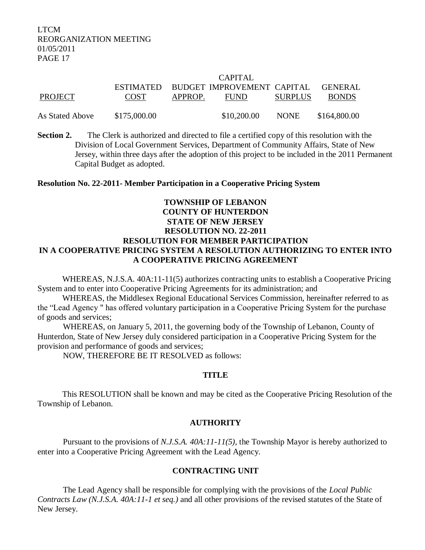#### CAPITAL

| PROJECT         | <b>COST</b>  | APPROP. | ESTIMATED BUDGET IMPROVEMENT CAPITAL<br><b>FUND</b> | <b>SURPLUS</b> | <b>GENERAL</b><br><b>BONDS</b> |
|-----------------|--------------|---------|-----------------------------------------------------|----------------|--------------------------------|
| As Stated Above | \$175,000.00 |         | \$10,200.00                                         | <b>NONE</b>    | \$164,800.00                   |

**Section 2.** The Clerk is authorized and directed to file a certified copy of this resolution with the Division of Local Government Services, Department of Community Affairs, State of New Jersey, within three days after the adoption of this project to be included in the 2011 Permanent Capital Budget as adopted.

#### **Resolution No. 22-2011- Member Participation in a Cooperative Pricing System**

# **TOWNSHIP OF LEBANON COUNTY OF HUNTERDON STATE OF NEW JERSEY RESOLUTION NO. 22-2011 RESOLUTION FOR MEMBER PARTICIPATION IN A COOPERATIVE PRICING SYSTEM A RESOLUTION AUTHORIZING TO ENTER INTO A COOPERATIVE PRICING AGREEMENT**

WHEREAS, N.J.S.A. 40A:11-11(5) authorizes contracting units to establish a Cooperative Pricing System and to enter into Cooperative Pricing Agreements for its administration; and

WHEREAS, the Middlesex Regional Educational Services Commission, hereinafter referred to as the "Lead Agency " has offered voluntary participation in a Cooperative Pricing System for the purchase of goods and services;

WHEREAS, on January 5, 2011, the governing body of the Township of Lebanon, County of Hunterdon, State of New Jersey duly considered participation in a Cooperative Pricing System for the provision and performance of goods and services;

NOW, THEREFORE BE IT RESOLVED as follows:

## **TITLE**

This RESOLUTION shall be known and may be cited as the Cooperative Pricing Resolution of the Township of Lebanon.

## **AUTHORITY**

Pursuant to the provisions of *N.J.S.A. 40A:11-11(5)*, the Township Mayor is hereby authorized to enter into a Cooperative Pricing Agreement with the Lead Agency.

## **CONTRACTING UNIT**

The Lead Agency shall be responsible for complying with the provisions of the *Local Public Contracts Law (N.J.S.A. 40A:11-1 et seq.)* and all other provisions of the revised statutes of the State of New Jersey.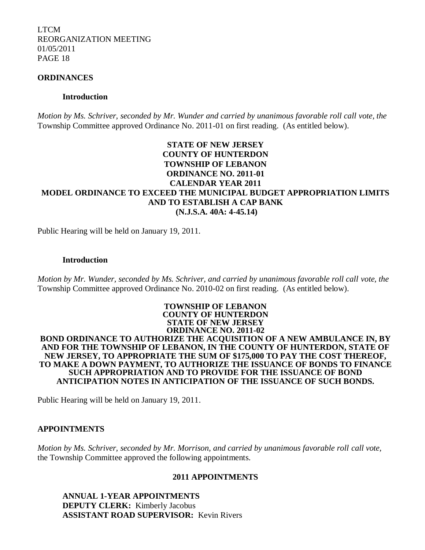#### **ORDINANCES**

#### **Introduction**

*Motion by Ms. Schriver, seconded by Mr. Wunder and carried by unanimous favorable roll call vote, the* Township Committee approved Ordinance No. 2011-01 on first reading. (As entitled below).

# **STATE OF NEW JERSEY COUNTY OF HUNTERDON TOWNSHIP OF LEBANON ORDINANCE NO. 2011-01 CALENDAR YEAR 2011 MODEL ORDINANCE TO EXCEED THE MUNICIPAL BUDGET APPROPRIATION LIMITS AND TO ESTABLISH A CAP BANK (N.J.S.A. 40A: 4-45.14)**

Public Hearing will be held on January 19, 2011.

#### **Introduction**

*Motion by Mr. Wunder, seconded by Ms. Schriver, and carried by unanimous favorable roll call vote, the* Township Committee approved Ordinance No. 2010-02 on first reading. (As entitled below).

#### **TOWNSHIP OF LEBANON COUNTY OF HUNTERDON STATE OF NEW JERSEY ORDINANCE NO. 2011-02 BOND ORDINANCE TO AUTHORIZE THE ACQUISITION OF A NEW AMBULANCE IN, BY AND FOR THE TOWNSHIP OF LEBANON, IN THE COUNTY OF HUNTERDON, STATE OF NEW JERSEY, TO APPROPRIATE THE SUM OF \$175,000 TO PAY THE COST THEREOF, TO MAKE A DOWN PAYMENT, TO AUTHORIZE THE ISSUANCE OF BONDS TO FINANCE SUCH APPROPRIATION AND TO PROVIDE FOR THE ISSUANCE OF BOND ANTICIPATION NOTES IN ANTICIPATION OF THE ISSUANCE OF SUCH BONDS.**

Public Hearing will be held on January 19, 2011.

## **APPOINTMENTS**

*Motion by Ms. Schriver, seconded by Mr. Morrison, and carried by unanimous favorable roll call vote,*  the Township Committee approved the following appointments.

## **2011 APPOINTMENTS**

**ANNUAL 1-YEAR APPOINTMENTS DEPUTY CLERK:** Kimberly Jacobus **ASSISTANT ROAD SUPERVISOR:** Kevin Rivers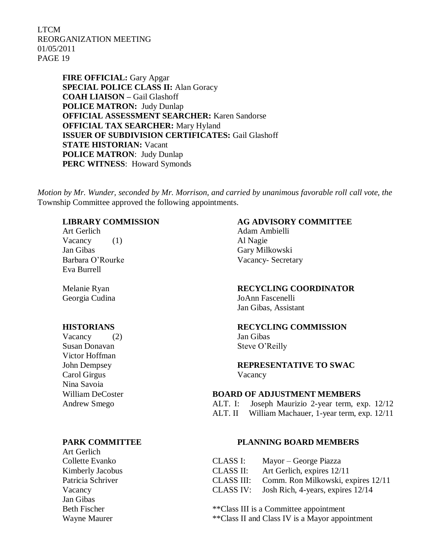> **FIRE OFFICIAL:** Gary Apgar **SPECIAL POLICE CLASS II:** Alan Goracy **COAH LIAISON –** Gail Glashoff **POLICE MATRON:** Judy Dunlap **OFFICIAL ASSESSMENT SEARCHER:** Karen Sandorse **OFFICIAL TAX SEARCHER:** Mary Hyland **ISSUER OF SUBDIVISION CERTIFICATES:** Gail Glashoff **STATE HISTORIAN:** Vacant **POLICE MATRON**: Judy Dunlap **PERC WITNESS**: Howard Symonds

*Motion by Mr. Wunder, seconded by Mr. Morrison, and carried by unanimous favorable roll call vote, the* Township Committee approved the following appointments.

Vacancy (1) Al Nagie Jan Gibas Gary Milkowski Eva Burrell

Vacancy (2) Jan Gibas Susan Donavan Steve O'Reilly Victor Hoffman Carol Girgus Vacancy Nina Savoia

Art Gerlich Collette Evanko i: Mayor et al. Kimberly Jacobus Patricia Schriver Jan Gibas

# **LIBRARY COMMISSION AG ADVISORY COMMITTEE**

Art Gerlich Adam Ambielli Barbara O'Rourke Vacancy- Secretary

#### Melanie Ryan **RECYCLING COORDINATOR**

Georgia Cudina JoAnn Fascenelli Jan Gibas, Assistant

#### **HISTORIANS RECYCLING COMMISSION**

John Dempsey **REPRESENTATIVE TO SWAC**

#### William DeCoster **BOARD OF ADJUSTMENT MEMBERS**

Andrew Smego ALT. I: Joseph Maurizio 2-year term, exp. 12/12 ALT. II William Machauer, 1-year term, exp. 12/11

#### **PARK COMMITTEE PLANNING BOARD MEMBERS**

| Collette Evanko   | CLASS I:  | Mayor – George Piazza                         |
|-------------------|-----------|-----------------------------------------------|
| Kimberly Jacobus  | CLASS II: | Art Gerlich, expires 12/11                    |
| Patricia Schriver |           | CLASS III: Comm. Ron Milkowski, expires 12/11 |
| Vacancy           | CLASS IV: | Josh Rich, 4-years, expires 12/14             |

Beth Fischer \*\*Class III is a Committee appointment Wayne Maurer \*\*\*Class II and Class IV is a Mayor appointment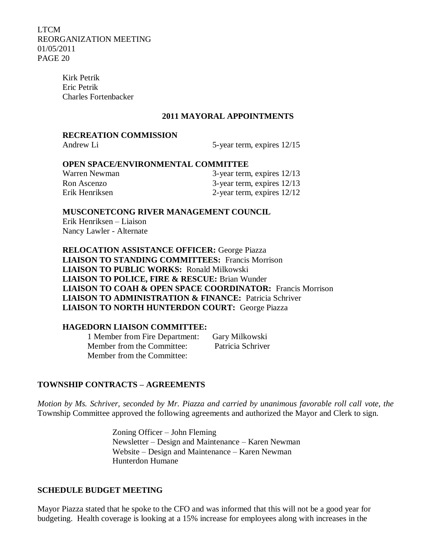> Kirk Petrik Eric Petrik Charles Fortenbacker

#### **2011 MAYORAL APPOINTMENTS**

## **RECREATION COMMISSION**

Andrew Li 5-year term, expires  $12/15$ 

#### **OPEN SPACE/ENVIRONMENTAL COMMITTEE**

| Warren Newman  | 3-year term, expires 12/13   |
|----------------|------------------------------|
| Ron Ascenzo    | 3-year term, expires 12/13   |
| Erik Henriksen | 2-year term, expires $12/12$ |

## **MUSCONETCONG RIVER MANAGEMENT COUNCIL**

Erik Henriksen – Liaison Nancy Lawler - Alternate

**RELOCATION ASSISTANCE OFFICER:** George Piazza **LIAISON TO STANDING COMMITTEES:** Francis Morrison **LIAISON TO PUBLIC WORKS:** Ronald Milkowski **LIAISON TO POLICE, FIRE & RESCUE:** Brian Wunder  **LIAISON TO COAH & OPEN SPACE COORDINATOR:** Francis Morrison **LIAISON TO ADMINISTRATION & FINANCE:** Patricia Schriver **LIAISON TO NORTH HUNTERDON COURT:** George Piazza

#### **HAGEDORN LIAISON COMMITTEE:**

1 Member from Fire Department: Gary Milkowski Member from the Committee: Patricia Schriver Member from the Committee:

#### **TOWNSHIP CONTRACTS – AGREEMENTS**

*Motion by Ms. Schriver, seconded by Mr. Piazza and carried by unanimous favorable roll call vote, the* Township Committee approved the following agreements and authorized the Mayor and Clerk to sign.

> Zoning Officer – John Fleming Newsletter – Design and Maintenance – Karen Newman Website – Design and Maintenance – Karen Newman Hunterdon Humane

#### **SCHEDULE BUDGET MEETING**

Mayor Piazza stated that he spoke to the CFO and was informed that this will not be a good year for budgeting. Health coverage is looking at a 15% increase for employees along with increases in the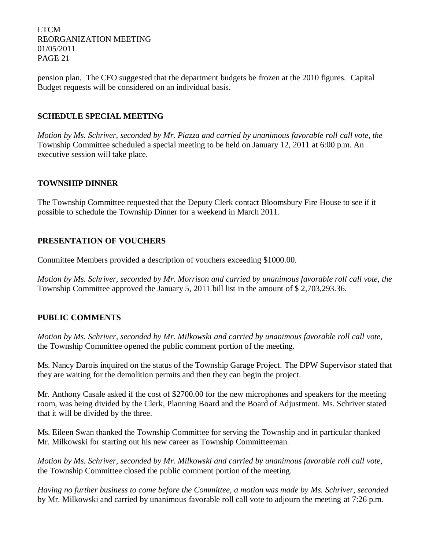pension plan. The CFO suggested that the department budgets be frozen at the 2010 figures. Capital Budget requests will be considered on an individual basis.

# **SCHEDULE SPECIAL MEETING**

*Motion by Ms. Schriver, seconded by Mr. Piazza and carried by unanimous favorable roll call vote, the* Township Committee scheduled a special meeting to be held on January 12, 2011 at 6:00 p.m. An executive session will take place.

## **TOWNSHIP DINNER**

The Township Committee requested that the Deputy Clerk contact Bloomsbury Fire House to see if it possible to schedule the Township Dinner for a weekend in March 2011.

## **PRESENTATION OF VOUCHERS**

Committee Members provided a description of vouchers exceeding \$1000.00.

*Motion by Ms. Schriver, seconded by Mr. Morrison and carried by unanimous favorable roll call vote, the* Township Committee approved the January 5, 2011 bill list in the amount of \$ 2,703,293.36.

# **PUBLIC COMMENTS**

*Motion by Ms. Schriver, seconded by Mr. Milkowski and carried by unanimous favorable roll call vote,*  the Township Committee opened the public comment portion of the meeting.

Ms. Nancy Darois inquired on the status of the Township Garage Project. The DPW Supervisor stated that they are waiting for the demolition permits and then they can begin the project.

Mr. Anthony Casale asked if the cost of \$2700.00 for the new microphones and speakers for the meeting room, was being divided by the Clerk, Planning Board and the Board of Adjustment. Ms. Schriver stated that it will be divided by the three.

Ms. Eileen Swan thanked the Township Committee for serving the Township and in particular thanked Mr. Milkowski for starting out his new career as Township Committeeman.

*Motion by Ms. Schriver, seconded by Mr. Milkowski and carried by unanimous favorable roll call vote,* the Township Committee closed the public comment portion of the meeting.

*Having no further business to come before the Committee, a motion was made by Ms. Schriver, seconded*  by Mr. Milkowski and carried by unanimous favorable roll call vote to adjourn the meeting at 7:26 p.m.